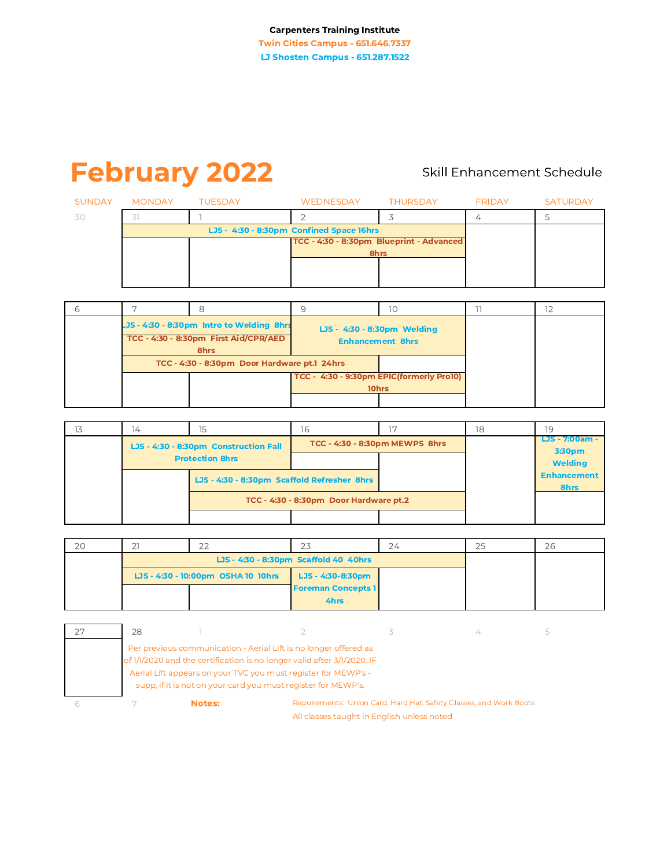# **February 2022**

# Skill Enhancement Schedule

|     | SUNDAY MONDAY | TUESDAY                                  | WEDNESDAY                                | THURSDAY | FRIDAY | <b>SATURDAY</b> |
|-----|---------------|------------------------------------------|------------------------------------------|----------|--------|-----------------|
| -30 |               |                                          |                                          |          |        |                 |
|     |               | LJS - 4:30 - 8:30pm Confined Space 16hrs |                                          |          |        |                 |
|     |               |                                          | TCC - 4:30 - 8:30pm Blueprint - Advanced |          |        |                 |
|     |               |                                          | 8hrs                                     |          |        |                 |
|     |               |                                          |                                          |          |        |                 |
|     |               |                                          |                                          |          |        |                 |

|                                                                                            |                                              |                                                        | 10 |  |
|--------------------------------------------------------------------------------------------|----------------------------------------------|--------------------------------------------------------|----|--|
| LJS - 4:30 - 8:30pm Intro to Welding 8hrs<br>TCC - 4:30 - 8:30pm First Aid/CPR/AED<br>8hrs |                                              | LJS - 4:30 - 8:30pm Welding<br><b>Enhancement 8hrs</b> |    |  |
|                                                                                            | TCC - 4:30 - 8:30pm Door Hardware pt.1 24hrs |                                                        |    |  |
|                                                                                            |                                              | TCC - 4:30 - 9:30pm EPIC(formerly Pro10)               |    |  |
|                                                                                            |                                              | 10hrs                                                  |    |  |
|                                                                                            |                                              |                                                        |    |  |

| 14                                    |                                        | 16                                          |                                | 18 | 19                         |
|---------------------------------------|----------------------------------------|---------------------------------------------|--------------------------------|----|----------------------------|
| LJS - 4:30 - 8:30pm Construction Fall |                                        |                                             | TCC - 4:30 - 8:30pm MEWPS 8hrs |    | LJS - 7:00am -<br>3:30pm   |
|                                       | <b>Protection 8hrs</b>                 |                                             |                                |    | <b>Welding</b>             |
|                                       |                                        | LJS - 4:30 - 8:30pm Scaffold Refresher 8hrs |                                |    | <b>Enhancement</b><br>8hrs |
|                                       | TCC - 4:30 - 8:30pm Door Hardware pt.2 |                                             |                                |    |                            |
|                                       |                                        |                                             |                                |    |                            |

| 20 |                                    | $\cap$ | 72                        | 24 | 25 | 26 |
|----|------------------------------------|--------|---------------------------|----|----|----|
|    |                                    |        |                           |    |    |    |
|    | LJS - 4:30 - 10:00pm OSHA 10 10hrs |        | LJS - 4:30-8:30pm         |    |    |    |
|    |                                    |        | <b>Foreman Concepts 1</b> |    |    |    |
|    |                                    |        | 4hrs                      |    |    |    |

| 28 |        |                                                                                                                                                                                                                                                                                |                                                                    |  |
|----|--------|--------------------------------------------------------------------------------------------------------------------------------------------------------------------------------------------------------------------------------------------------------------------------------|--------------------------------------------------------------------|--|
|    |        | Per previous communication - Aerial Lift is no longer offered as<br>of 1/1/2020 and the certification is no longer valid after 3/1/2020. IF<br>Aerial Lift appears on your TVC you must register for MEWP's -<br>supp, if it is not on your card you must register for MEWP's. |                                                                    |  |
|    | Notes: |                                                                                                                                                                                                                                                                                | Requirements: Union Card, Hard Hat, Safety Glasses, and Work Boots |  |

All classes taught in English unless noted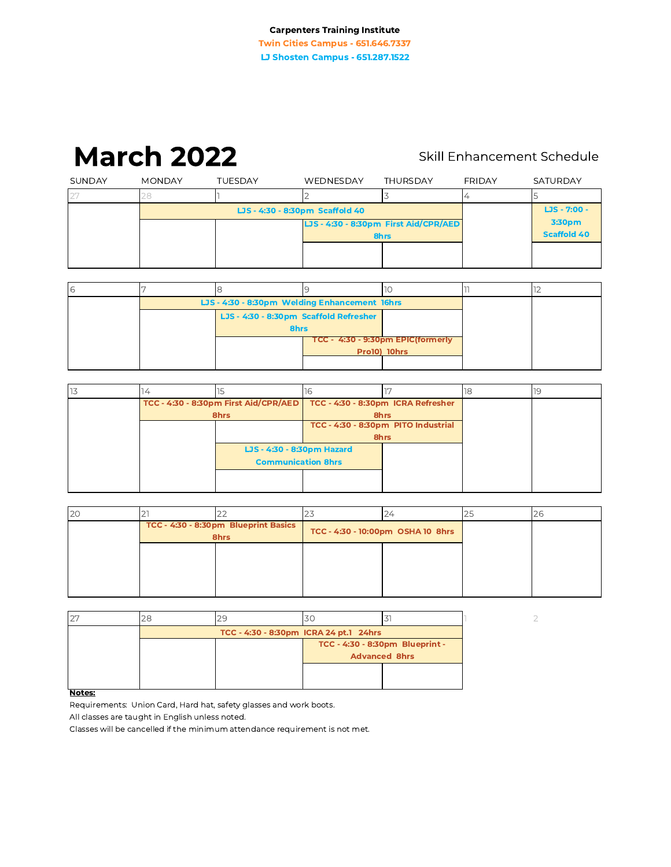# **March 2022**

# Skill Enhancement Schedule

|        | <b>March 2022</b> |                                 |           |                                               | Skill Enhancement Schedule |                              |
|--------|-------------------|---------------------------------|-----------|-----------------------------------------------|----------------------------|------------------------------|
| SUNDAY | <b>MONDAY</b>     | <b>TUESDAY</b>                  | WEDNESDAY | <b>THURSDAY</b>                               | FRIDAY                     | <b>SATURDAY</b>              |
| 27     | 28                |                                 |           | 3                                             | 4                          |                              |
|        |                   | LJS - 4:30 - 8:30pm Scaffold 40 |           |                                               |                            | $LJS - 7:00 -$               |
|        |                   |                                 |           | LJS - 4:30 - 8:30pm First Aid/CPR/AED<br>8hrs |                            | 3:30pm<br><b>Scaffold 40</b> |
|        |                   |                                 |           |                                               |                            |                              |

| 6 |                                               |  |              |  |
|---|-----------------------------------------------|--|--------------|--|
|   | LJS - 4:30 - 8:30pm Welding Enhancement 16hrs |  |              |  |
|   | LJS - 4:30 - 8:30pm Scaffold Refresher        |  |              |  |
|   | 8hrs                                          |  |              |  |
|   | TCC - 4:30 - 9:30pm EPIC(formerly             |  |              |  |
|   |                                               |  | Pro10) 10hrs |  |
|   |                                               |  |              |  |

|  |      |                                                                          |                                     |      | 18 |  |
|--|------|--------------------------------------------------------------------------|-------------------------------------|------|----|--|
|  |      | TCC - 4:30 - 8:30pm First Aid/CPR/AED TCC - 4:30 - 8:30pm ICRA Refresher |                                     |      |    |  |
|  | 8hrs |                                                                          |                                     | 8hrs |    |  |
|  |      |                                                                          | TCC - 4:30 - 8:30pm PITO Industrial |      |    |  |
|  |      |                                                                          | 8hrs                                |      |    |  |
|  |      | LJS - 4:30 - 8:30pm Hazard                                               |                                     |      |    |  |
|  |      | <b>Communication 8hrs</b>                                                |                                     |      |    |  |
|  |      |                                                                          |                                     |      |    |  |
|  |      |                                                                          |                                     |      |    |  |

| 20 |                                              |                                   | ے | 26 |
|----|----------------------------------------------|-----------------------------------|---|----|
|    | TCC - 4:30 - 8:30pm Blueprint Basics<br>8hrs | TCC - 4:30 - 10:00pm OSHA 10 8hrs |   |    |
|    |                                              |                                   |   |    |
|    |                                              |                                   |   |    |
|    |                                              |                                   |   |    |

| 27 | 29                                     |                                 |  |
|----|----------------------------------------|---------------------------------|--|
|    | TCC - 4:30 - 8:30pm ICRA 24 pt.1 24hrs |                                 |  |
|    |                                        | TCC - 4:30 - 8:30pm Blueprint - |  |
|    |                                        | <b>Advanced 8hrs</b>            |  |
|    |                                        |                                 |  |
|    |                                        |                                 |  |

Notes:

Requirements: Union Card, Hard hat, safety glasses and work boots.

All classes are taught in English unless noted.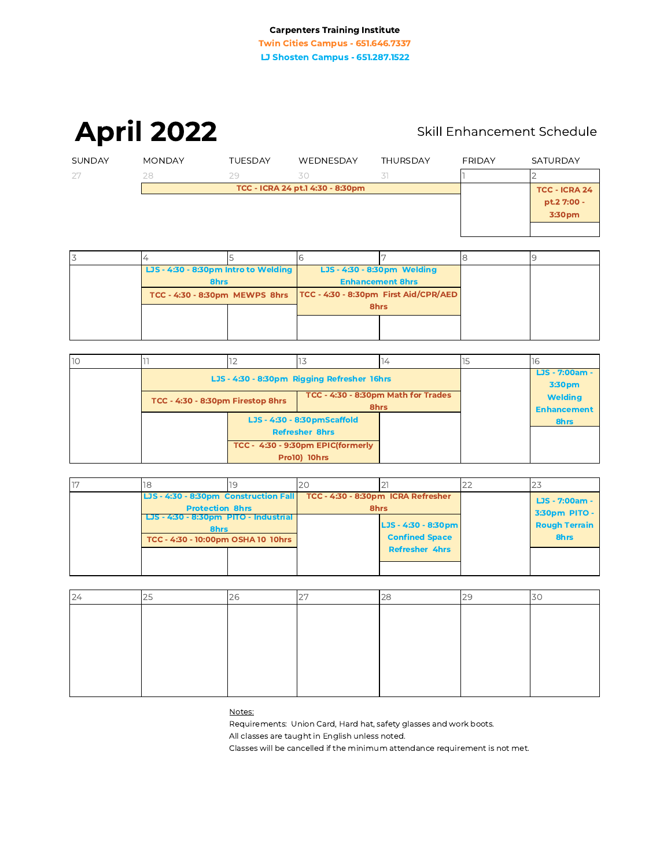**April 2022** 

# Skill Enhancement Schedule

| SUNDAY | <b>MONDAY</b> | <b>TUESDAY</b> | WEDNESDAY                        | <b>THURSDAY</b> | <b>FRIDAY</b> | SATURDAY                            |
|--------|---------------|----------------|----------------------------------|-----------------|---------------|-------------------------------------|
| 27     | 28            | 29             | .30                              | 31              |               |                                     |
|        |               |                | TCC - ICRA 24 pt.1 4:30 - 8:30pm |                 |               | <b>TCC - ICRA 24</b><br>pt.2 7:00 - |
|        |               |                |                                  |                 |               | 3:30pm                              |

| LJS - 4:30 - 8:30pm Intro to Welding |  |                         | LJS - 4:30 - 8:30pm Welding           |  |  |
|--------------------------------------|--|-------------------------|---------------------------------------|--|--|
| 8hrs                                 |  | <b>Enhancement 8hrs</b> |                                       |  |  |
| TCC - 4:30 - 8:30pm MEWPS 8hrs       |  |                         | TCC - 4:30 - 8:30pm First Aid/CPR/AED |  |  |
|                                      |  | 8hrs                    |                                       |  |  |
|                                      |  |                         |                                       |  |  |
|                                      |  |                         |                                       |  |  |

| 10 |                                   | ΙZ                    |                                             | 14 | Ξ                        | 16                                   |
|----|-----------------------------------|-----------------------|---------------------------------------------|----|--------------------------|--------------------------------------|
|    |                                   |                       | LJS - 4:30 - 8:30pm Rigging Refresher 16hrs |    | LJS - 7:00am -<br>3:30pm |                                      |
|    | TCC - 4:30 - 8:30pm Firestop 8hrs |                       | TCC - 4:30 - 8:30pm Math for Trades<br>8hrs |    |                          | <b>Welding</b><br><b>Enhancement</b> |
|    |                                   |                       | LJS - 4:30 - 8:30pmScaffold                 |    |                          | 8hrs                                 |
|    |                                   | <b>Refresher 8hrs</b> |                                             |    |                          |                                      |
|    |                                   |                       | TCC - 4:30 - 9:30pm EPIC(formerly           |    |                          |                                      |
|    |                                   |                       | <b>Pro10) 10hrs</b>                         |    |                          |                                      |

|  |                                                                 |                                               | 20                                 |                       |                                 |  |
|--|-----------------------------------------------------------------|-----------------------------------------------|------------------------------------|-----------------------|---------------------------------|--|
|  | LJS - 4:30 - 8:30pm Construction Fall<br><b>Protection 8hrs</b> |                                               | TCC - 4:30 - 8:30pm ICRA Refresher | 8hrs                  | LJS - 7:00am -<br>3:30pm PITO - |  |
|  |                                                                 | LJS - 4:30 - 8:30pm PITO - Industrial<br>8hrs |                                    | LJS - 4:30 - 8:30pm   | <b>Rough Terrain</b>            |  |
|  | TCC - 4:30 - 10:00pm OSHA 10 10hrs                              |                                               |                                    | <b>Confined Space</b> | 8hrs                            |  |
|  |                                                                 |                                               |                                    | <b>Refresher 4hrs</b> |                                 |  |
|  |                                                                 |                                               |                                    |                       |                                 |  |

| $\bigcap$<br>24 | L. |  |  |  |
|-----------------|----|--|--|--|
|                 |    |  |  |  |
|                 |    |  |  |  |
|                 |    |  |  |  |
|                 |    |  |  |  |
|                 |    |  |  |  |
|                 |    |  |  |  |

Notes:

Requirements: Union Card, Hard hat, safety glasses and work boots.

All classes are taught in English unless noted.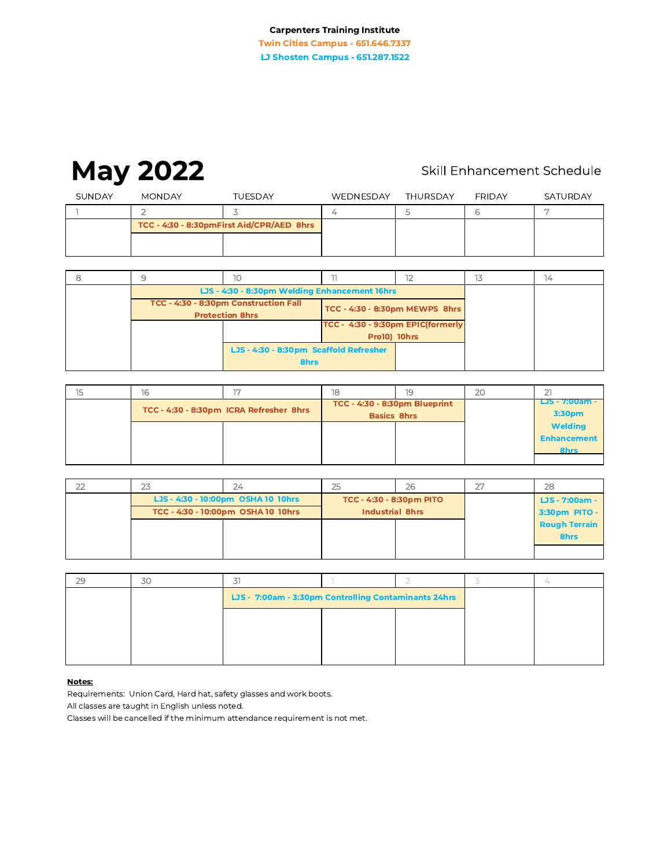# **May 2022**

# Skill Enhancement Schedule

| SUNDAY | <b>MONDAY</b>                             | <b>TUESDAY</b> | WEDNESDAY | THURSDAY | <b>FRIDAY</b> | SATURDAY |
|--------|-------------------------------------------|----------------|-----------|----------|---------------|----------|
|        |                                           |                |           |          |               |          |
|        | TCC - 4:30 - 8:30pmFirst Aid/CPR/AED 8hrs |                |           |          |               |          |
|        |                                           |                |           |          |               |          |
|        |                                           |                |           |          |               |          |

|  | ΙO                                                                                                |                                   |  | $\overline{14}$ |
|--|---------------------------------------------------------------------------------------------------|-----------------------------------|--|-----------------|
|  | LJS - 4:30 - 8:30pm Welding Enhancement 16hrs                                                     |                                   |  |                 |
|  | TCC - 4:30 - 8:30pm Construction Fall<br>TCC - 4:30 - 8:30pm MEWPS 8hrs<br><b>Protection 8hrs</b> |                                   |  |                 |
|  |                                                                                                   | TCC - 4:30 - 9:30pm EPIC(formerly |  |                 |
|  |                                                                                                   | <b>Pro10) 10hrs</b>               |  |                 |
|  | LJS - 4:30 - 8:30pm Scaffold Refresher<br>8hrs                                                    |                                   |  |                 |

| 16 |                                         |                                                     | 19 | 20 |                                              |
|----|-----------------------------------------|-----------------------------------------------------|----|----|----------------------------------------------|
|    | TCC - 4:30 - 8:30pm ICRA Refresher 8hrs | TCC - 4:30 - 8:30pm Blueprint<br><b>Basics 8hrs</b> |    |    | LJS - 7:00am -<br>3:30pm                     |
|    |                                         |                                                     |    |    | <b>Welding</b><br><b>Enhancement</b><br>8hrs |
|    |                                         |                                                     |    |    |                                              |

| 22 | 24                                 |                                 | 26 | つワ | 28                   |
|----|------------------------------------|---------------------------------|----|----|----------------------|
|    | LJS - 4:30 - 10:00pm OSHA 10 10hrs | <b>TCC - 4:30 - 8:30pm PITO</b> |    |    | LJS - 7:00am -       |
|    | TCC - 4:30 - 10:00pm OSHA 10 10hrs | <b>Industrial 8hrs</b>          |    |    | 3:30pm PITO -        |
|    |                                    |                                 |    |    | <b>Rough Terrain</b> |
|    |                                    |                                 |    |    | 8hrs                 |
|    |                                    |                                 |    |    |                      |

| 29 | 30 |                                                      |  |  |
|----|----|------------------------------------------------------|--|--|
|    |    | LJS - 7:00am - 3:30pm Controlling Contaminants 24hrs |  |  |
|    |    |                                                      |  |  |
|    |    |                                                      |  |  |
|    |    |                                                      |  |  |

#### Notes:

Requirements: Union Card, Hard hat, safety glasses and work boots.

All classes are taught in English unless noted.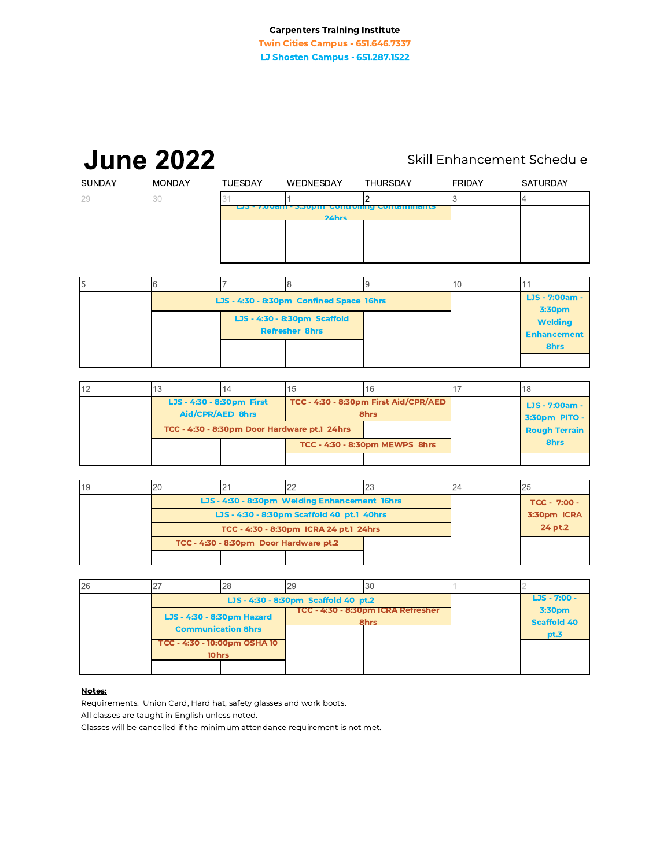**Twin Cities Campus - 651.646.7337** LJ Shosten Campus - 651.287.1522

#### **June 2022** Skill Enhancement Schedule SUNDAY **MONDAY** TUESDAY FRIDAY SATURDAY WEDNESDAY THURSDAY  $\overline{2}$ 29  $30\,$ 3  $\overline{\mathcal{L}}$  $\ensuremath{\mathsf{1}}$

| b |                                          |                                                       |  |                                      |
|---|------------------------------------------|-------------------------------------------------------|--|--------------------------------------|
|   | LJS - 4:30 - 8:30pm Confined Space 16hrs | LJS - 7:00am -<br>3:30pm                              |  |                                      |
|   |                                          | LJS - 4:30 - 8:30pm Scaffold<br><b>Refresher 8hrs</b> |  | <b>Welding</b><br><b>Enhancement</b> |
|   |                                          |                                                       |  | 8hrs                                 |
|   |                                          |                                                       |  |                                      |

| 12 | ьO                                            |  | כ ו                                          | 16                                            |  | 18                              |  |
|----|-----------------------------------------------|--|----------------------------------------------|-----------------------------------------------|--|---------------------------------|--|
|    | LJS - 4:30 - 8:30pm First<br>Aid/CPR/AED 8hrs |  |                                              | TCC - 4:30 - 8:30pm First Aid/CPR/AED<br>8hrs |  | LJS - 7:00am -<br>3:30pm PITO - |  |
|    |                                               |  | TCC - 4:30 - 8:30pm Door Hardware pt.1 24hrs |                                               |  | <b>Rough Terrain</b>            |  |
|    |                                               |  |                                              | TCC - 4:30 - 8:30pm MEWPS 8hrs                |  | 8hrs                            |  |
|    |                                               |  |                                              |                                               |  |                                 |  |

| 19 |                                        |                                               |              | 23 | 25 |
|----|----------------------------------------|-----------------------------------------------|--------------|----|----|
|    |                                        | LJS - 4:30 - 8:30pm Welding Enhancement 16hrs | TCC - 7:00 - |    |    |
|    |                                        | LJS - 4:30 - 8:30pm Scaffold 40 pt.1 40hrs    | 3:30pm ICRA  |    |    |
|    |                                        | TCC - 4:30 - 8:30pm ICRA 24 pt.1 24hrs        | 24 pt.2      |    |    |
|    | TCC - 4:30 - 8:30pm Door Hardware pt.2 |                                               |              |    |    |
|    |                                        |                                               |              |    |    |

| 26 |                            |                                      | 29 | 30                                 |  |                    |
|----|----------------------------|--------------------------------------|----|------------------------------------|--|--------------------|
|    |                            | LJS - 4:30 - 8:30pm Scaffold 40 pt.2 |    |                                    |  | $LJS - 7:00 -$     |
|    | LJS - 4:30 - 8:30pm Hazard |                                      |    | TCC - 4:30 - 8:30pm ICRA Refresher |  | 3:30pm             |
|    |                            | <b>Communication 8hrs</b>            |    | 8hrs                               |  | <b>Scaffold 40</b> |
|    |                            | TCC - 4:30 - 10:00pm OSHA 10         |    |                                    |  | pt.3               |
|    | 10hrs                      |                                      |    |                                    |  |                    |
|    |                            |                                      |    |                                    |  |                    |

#### Notes:

Requirements: Union Card, Hard hat, safety glasses and work boots.

All classes are taught in English unless noted.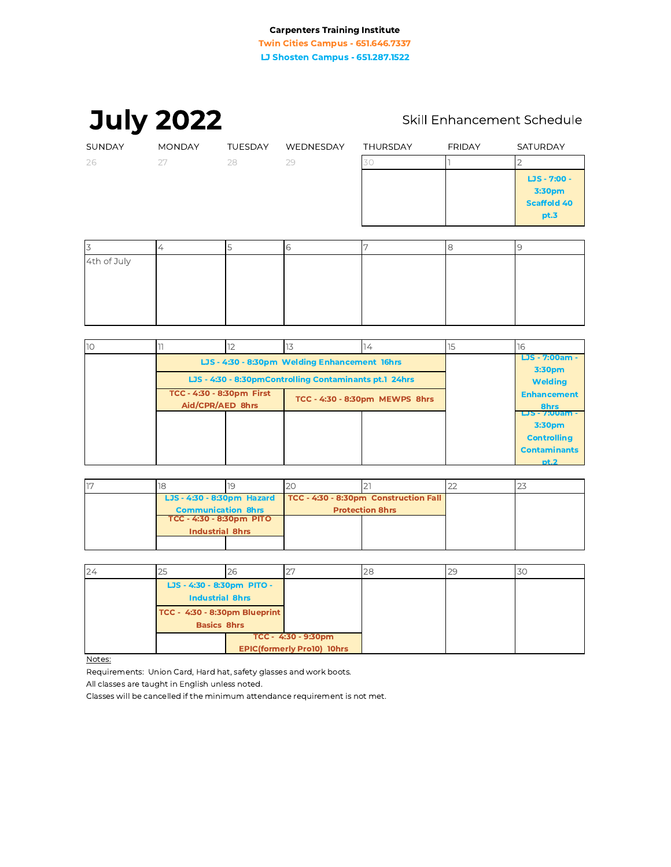**July 2022** 

# Skill Enhancement Schedule

| SUNDAY           | <b>MONDAY</b> | <b>TUESDAY</b> | WEDNESDAY | THURSDAY | <b>FRIDAY</b> | SATURDAY                                             |
|------------------|---------------|----------------|-----------|----------|---------------|------------------------------------------------------|
| 26               | 27            | 28             | 29        | 3C       |               |                                                      |
|                  |               |                |           |          |               | LJS - 7:00 -<br>3:30pm<br><b>Scaffold 40</b><br>pt.3 |
|                  |               |                |           |          |               |                                                      |
|                  |               |                | 6         |          | 8             | 9                                                    |
| $4th$ of $1$ uly |               |                |           |          |               |                                                      |

| 4th of July |  |  |  |
|-------------|--|--|--|
|             |  |  |  |
|             |  |  |  |
|             |  |  |  |
|             |  |  |  |

| 10 |                                                                                     |  |                                | 14 |  | 16                                             |
|----|-------------------------------------------------------------------------------------|--|--------------------------------|----|--|------------------------------------------------|
|    | LJS - 4:30 - 8:30pm Welding Enhancement 16hrs                                       |  |                                |    |  | LJS - 7:00am -<br>3:30pm                       |
|    | LJS - 4:30 - 8:30pmControlling Contaminants pt.1 24hrs<br>TCC - 4:30 - 8:30pm First |  |                                |    |  | <b>Welding</b>                                 |
|    | Aid/CPR/AED 8hrs                                                                    |  | TCC - 4:30 - 8:30pm MEWPS 8hrs |    |  | <b>Enhancement</b><br>8hrs                     |
|    |                                                                                     |  |                                |    |  | LJS - 7:00am -<br>3:30pm<br><b>Controlling</b> |
|    |                                                                                     |  |                                |    |  | <b>Contaminants</b><br>pt.2                    |

| LJS - 4:30 - 8:30pm Hazard |  | TCC - 4:30 - 8:30pm Construction Fall |  |  |
|----------------------------|--|---------------------------------------|--|--|
| <b>Communication 8hrs</b>  |  | <b>Protection 8hrs</b>                |  |  |
| TCC - 4:30 - 8:30pm PITO   |  |                                       |  |  |
| <b>Industrial 8hrs</b>     |  |                                       |  |  |
|                            |  |                                       |  |  |

| 24 | 25                            | 26 | $\bigcap$<br>∠                    | 28 | 30 |
|----|-------------------------------|----|-----------------------------------|----|----|
|    | LJS - 4:30 - 8:30pm PITO -    |    |                                   |    |    |
|    | <b>Industrial 8hrs</b>        |    |                                   |    |    |
|    | TCC - 4:30 - 8:30pm Blueprint |    |                                   |    |    |
|    | <b>Basics 8hrs</b>            |    |                                   |    |    |
|    |                               |    | TCC - 4:30 - 9:30pm               |    |    |
|    |                               |    | <b>EPIC(formerly Pro10) 10hrs</b> |    |    |

Notes:

Requirements: Union Card, Hard hat, safety glasses and work boots.

All classes are taught in English unless noted.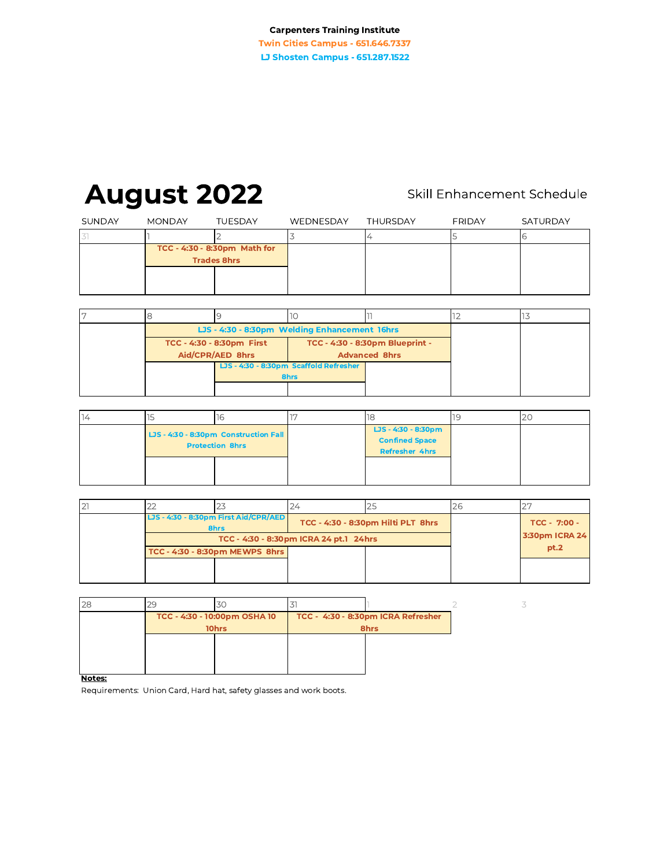**Twin Cities Campus - 651.646.7337** LJ Shosten Campus - 651.287.1522

# **August 2022**

# Skill Enhancement Schedule

3

| SUNDAY | <b>MONDAY</b>                                      | <b>TUESDAY</b> | WEDNESDAY | THURSDAY | <b>FRIDAY</b> | SATURDAY |
|--------|----------------------------------------------------|----------------|-----------|----------|---------------|----------|
|        |                                                    |                |           |          |               |          |
|        | TCC - 4:30 - 8:30pm Math for<br><b>Trades 8hrs</b> |                |           |          |               |          |
|        |                                                    |                |           |          |               |          |
|        |                                                    |                |           |          |               |          |

|  | LJS - 4:30 - 8:30pm Welding Enhancement 16hrs |                                        |                      |  |
|--|-----------------------------------------------|----------------------------------------|----------------------|--|
|  | TCC - 4:30 - 8:30pm First                     | TCC - 4:30 - 8:30pm Blueprint -        |                      |  |
|  | Aid/CPR/AED 8hrs                              |                                        | <b>Advanced 8hrs</b> |  |
|  |                                               | LJS - 4:30 - 8:30pm Scaffold Refresher |                      |  |
|  |                                               | 8hrs                                   |                      |  |
|  |                                               |                                        |                      |  |

| ╶╹ |                                                                 |  | - 18                                                                  |  |
|----|-----------------------------------------------------------------|--|-----------------------------------------------------------------------|--|
|    | LJS - 4:30 - 8:30pm Construction Fall<br><b>Protection 8hrs</b> |  | LJS - 4:30 - 8:30pm<br><b>Confined Space</b><br><b>Refresher 4hrs</b> |  |
|    |                                                                 |  |                                                                       |  |

|                                                                                     |  |  |  | 26 |                |
|-------------------------------------------------------------------------------------|--|--|--|----|----------------|
| LJS - 4:30 - 8:30pm First Aid/CPR/AED<br>TCC - 4:30 - 8:30pm Hilti PLT 8hrs<br>8hrs |  |  |  |    | $TCC - 7:00 -$ |
| TCC - 4:30 - 8:30pm ICRA 24 pt.1 24hrs                                              |  |  |  |    | 3:30pm ICRA 24 |
| TCC - 4:30 - 8:30pm MEWPS 8hrs                                                      |  |  |  |    | pt.2           |
|                                                                                     |  |  |  |    |                |
|                                                                                     |  |  |  |    |                |

| 28 |       | 30                           |                                    |  |  |
|----|-------|------------------------------|------------------------------------|--|--|
|    |       | TCC - 4:30 - 10:00pm OSHA 10 | TCC - 4:30 - 8:30pm ICRA Refresher |  |  |
|    | 10hrs |                              | 8hrs                               |  |  |
|    |       |                              |                                    |  |  |
|    |       |                              |                                    |  |  |
|    |       |                              |                                    |  |  |

Notes:

Requirements: Union Card, Hard hat, safety glasses and work boots.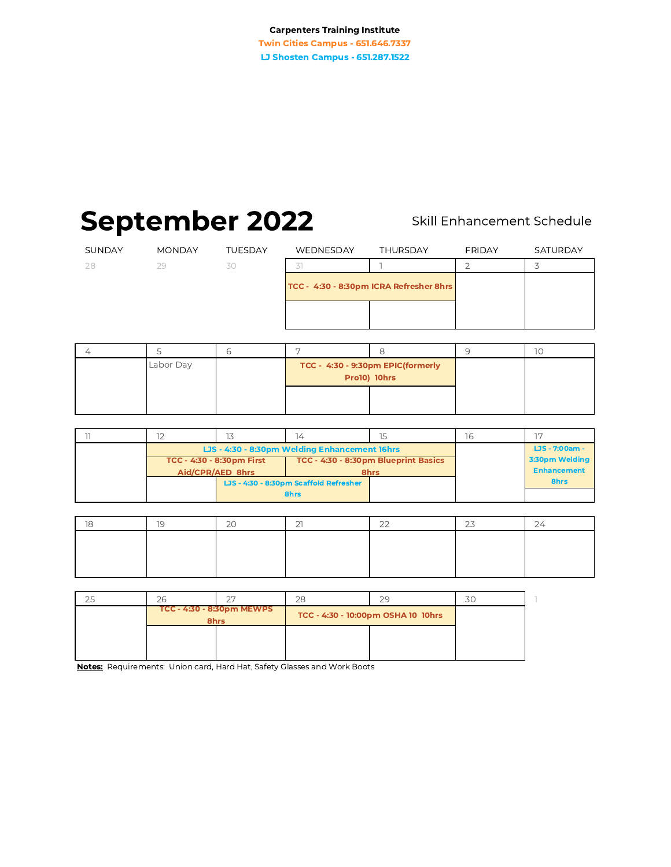**Twin Cities Campus - 651.646.7337** LJ Shosten Campus - 651.287.1522

# **September 2022**

# Skill Enhancement Schedule

| SUNDAY | <b>MONDAY</b> | <b>TUESDAY</b> | WEDNESDAY                               | <b>THURSDAY</b> | <b>FRIDAY</b> | SATURDAY |
|--------|---------------|----------------|-----------------------------------------|-----------------|---------------|----------|
| 28     | 29            | 30             |                                         |                 |               |          |
|        |               |                | TCC - 4:30 - 8:30pm ICRA Refresher 8hrs |                 |               |          |
|        |               |                |                                         |                 |               |          |
|        |               |                |                                         |                 |               |          |

| Labor Day |  | TCC - 4:30 - 9:30pm EPIC(formerly<br><b>Pro10) 10hrs</b> |  |
|-----------|--|----------------------------------------------------------|--|
|           |  |                                                          |  |

|  |                                                                   | 14                                            | 15   | lh             |                    |
|--|-------------------------------------------------------------------|-----------------------------------------------|------|----------------|--------------------|
|  |                                                                   | LJS - 4:30 - 8:30pm Welding Enhancement 16hrs |      | LJS - 7:00am - |                    |
|  | TCC - 4:30 - 8:30pm Blueprint Basics<br>TCC - 4:30 - 8:30pm First |                                               |      | 3:30pm Welding |                    |
|  | Aid/CPR/AED 8hrs                                                  |                                               | 8hrs |                | <b>Enhancement</b> |
|  |                                                                   | LJS - 4:30 - 8:30pm Scaffold Refresher        |      |                | 8hrs               |
|  | 8hrs                                                              |                                               |      |                |                    |

| $\overline{\phantom{0}}$ | $\sim$ $\sim$ | $\sim$ $\sim$ | $\sim$ $\sim$ | $\sim$ $\rightarrow$ | $\sim$ |
|--------------------------|---------------|---------------|---------------|----------------------|--------|
|                          |               |               |               |                      |        |
|                          |               |               |               |                      |        |
|                          |               |               |               |                      |        |
|                          |               |               |               |                      |        |

| 25 | $\cap$                            | 28 | 29                                 |  |
|----|-----------------------------------|----|------------------------------------|--|
|    | TCC - 4:30 - 8:30pm MEWPS<br>8hrs |    | TCC - 4:30 - 10:00pm OSHA 10 10hrs |  |
|    |                                   |    |                                    |  |
|    |                                   |    |                                    |  |

Notes: Requirements: Union card, Hard Hat, Safety Glasses and Work Boots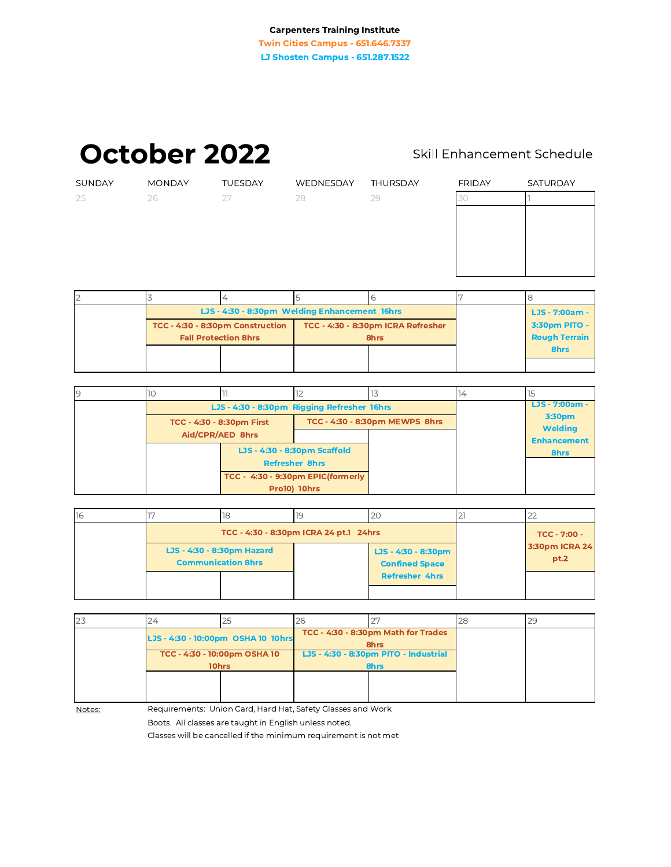October 2022

# Skill Enhancement Schedule

| SUNDAY | <b>MONDAY</b> | TUESDAY | WEDNESDAY | THURSDAY | <b>FRIDAY</b> | SATURDAY |
|--------|---------------|---------|-----------|----------|---------------|----------|
| 25     | 26            | 27      | 28        | 29       | 30            |          |
|        |               |         |           |          |               |          |
|        |               |         |           |          |               |          |
|        |               |         |           |          |               |          |
|        |               |         |           |          |               |          |
|        |               |         |           |          |               |          |
|        |               |         |           |          |               |          |
|        |               |         |           | $\circ$  |               |          |

| LJS - 4:30 - 8:30pm Welding Enhancement 16hrs | LJS - 7:00am - |                                    |  |                      |
|-----------------------------------------------|----------------|------------------------------------|--|----------------------|
| TCC - 4:30 - 8:30pm Construction              |                | TCC - 4:30 - 8:30pm ICRA Refresher |  | 3:30pm PITO -        |
| <b>Fall Protection 8hrs</b>                   |                | 8hrs                               |  | <b>Rough Terrain</b> |
|                                               |                |                                    |  | 8hrs                 |
|                                               |                |                                    |  |                      |

| 9 | 10                                |                                             |                                                       |  |                |                          |
|---|-----------------------------------|---------------------------------------------|-------------------------------------------------------|--|----------------|--------------------------|
|   |                                   | LJS - 4:30 - 8:30pm Rigging Refresher 16hrs |                                                       |  | LJS - 7:00am - |                          |
|   |                                   | TCC - 4:30 - 8:30pm First                   | TCC - 4:30 - 8:30pm MEWPS 8hrs                        |  |                | 3:30pm<br><b>Welding</b> |
|   | Aid/CPR/AED 8hrs                  |                                             |                                                       |  |                | <b>Enhancement</b>       |
|   | TCC - 4:30 - 9:30pm EPIC(formerly |                                             | LJS - 4:30 - 8:30pm Scaffold<br><b>Refresher 8hrs</b> |  |                | 8hrs                     |
|   |                                   |                                             |                                                       |  |                |                          |
|   |                                   |                                             |                                                       |  |                |                          |
|   |                                   |                                             | <b>Pro10) 10hrs</b>                                   |  |                |                          |

| 16 |  | ıo                                                      |                     |                                              |                        |
|----|--|---------------------------------------------------------|---------------------|----------------------------------------------|------------------------|
|    |  | TCC - 4:30 - 8:30pm ICRA 24 pt.1 24hrs                  | <b>TCC - 7:00 -</b> |                                              |                        |
|    |  | LJS - 4:30 - 8:30pm Hazard<br><b>Communication 8hrs</b> |                     | LJS - 4:30 - 8:30pm<br><b>Confined Space</b> | 3:30pm ICRA 24<br>pt.2 |
|    |  |                                                         |                     | <b>Refresher 4hrs</b>                        |                        |

| 23 |                                       | 25 | 26 |                                             | 28 | 20 |
|----|---------------------------------------|----|----|---------------------------------------------|----|----|
|    | LJS - 4:30 - 10:00pm OSHA 10 10hrs    |    |    | TCC - 4:30 - 8:30pm Math for Trades<br>8hrs |    |    |
|    | TCC - 4:30 - 10:00pm OSHA 10<br>10hrs |    |    | LJS - 4:30 - 8:30pm PITO - Industrial       |    |    |
|    |                                       |    |    | 8hrs                                        |    |    |
|    |                                       |    |    |                                             |    |    |
|    |                                       |    |    |                                             |    |    |
|    |                                       |    |    |                                             |    |    |

Notes:

Requirements: Union Card, Hard Hat, Safety Glasses and Work

Boots. All classes are taught in English unless noted.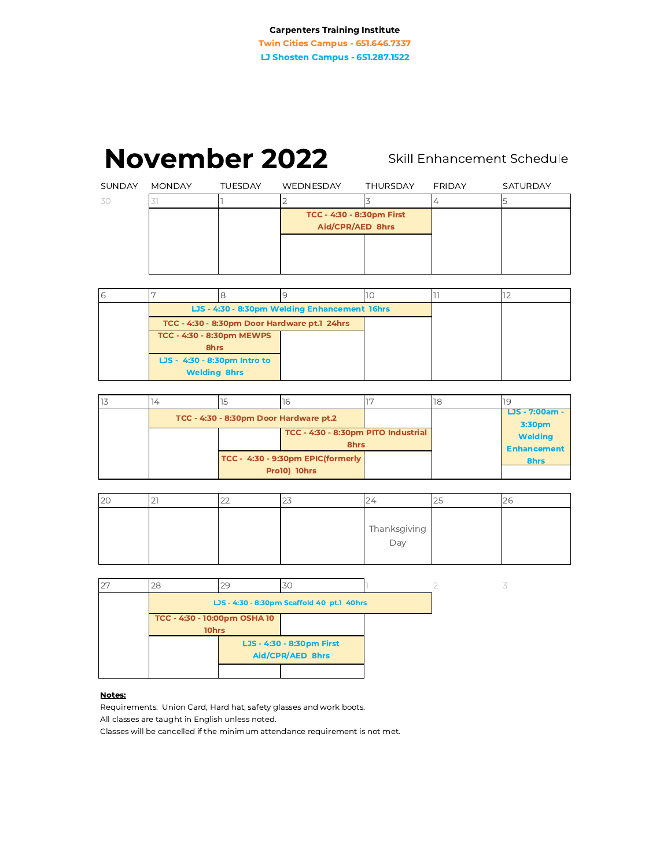# November 2022 Skill Enhancement Schedule

|               |               | <b>November 2022</b> |           |                                               |               | Skill Enhancement Schedule |
|---------------|---------------|----------------------|-----------|-----------------------------------------------|---------------|----------------------------|
| <b>SUNDAY</b> | <b>MONDAY</b> | <b>TUESDAY</b>       | WEDNESDAY | <b>THURSDAY</b>                               | <b>FRIDAY</b> | SATURDAY                   |
| 30            |               |                      |           |                                               | 4             | 5                          |
|               |               |                      |           | TCC - 4:30 - 8:30pm First<br>Aid/CPR/AED 8hrs |               |                            |
|               |               |                      |           |                                               |               |                            |
|               |               |                      |           |                                               |               |                            |

| 6 |                              |  |                                               |  |  |
|---|------------------------------|--|-----------------------------------------------|--|--|
|   |                              |  | LJS - 4:30 - 8:30pm Welding Enhancement 16hrs |  |  |
|   |                              |  | TCC - 4:30 - 8:30pm Door Hardware pt.1 24hrs  |  |  |
|   | TCC - 4:30 - 8:30pm MEWPS    |  |                                               |  |  |
|   | 8hrs                         |  |                                               |  |  |
|   | LJS - 4:30 - 8:30pm Intro to |  |                                               |  |  |
|   | <b>Welding 8hrs</b>          |  |                                               |  |  |

|  |                                        |                                     | או |                          |
|--|----------------------------------------|-------------------------------------|----|--------------------------|
|  | TCC - 4:30 - 8:30pm Door Hardware pt.2 |                                     |    | LJS - 7:00am -<br>3:30pm |
|  |                                        | TCC - 4:30 - 8:30pm PITO Industrial |    | <b>Welding</b>           |
|  |                                        | 8hrs                                |    | <b>Enhancement</b>       |
|  |                                        | TCC - 4:30 - 9:30pm EPIC(formerly   |    | 8hrs                     |
|  |                                        | Pro10) 10hrs                        |    |                          |

| 20 | - | --<br><u>__</u> | $\overline{\phantom{0}}$ | ∠∸           | $\sim$ | ZU |
|----|---|-----------------|--------------------------|--------------|--------|----|
|    |   |                 |                          |              |        |    |
|    |   |                 |                          | Thanksgiving |        |    |
|    |   |                 |                          | Day          |        |    |
|    |   |                 |                          |              |        |    |

| 27 | 28                                           | 29                                         | 30                                            |  |  |  |
|----|----------------------------------------------|--------------------------------------------|-----------------------------------------------|--|--|--|
|    |                                              | LJS - 4:30 - 8:30pm Scaffold 40 pt.1 40hrs |                                               |  |  |  |
|    | TCC - 4:30 - 10:00pm OSHA 10<br><b>10hrs</b> |                                            |                                               |  |  |  |
|    |                                              |                                            | LJS - 4:30 - 8:30pm First<br>Aid/CPR/AED 8hrs |  |  |  |
|    |                                              |                                            |                                               |  |  |  |

### Notes:

Requirements: Union Card, Hard hat, safety glasses and work boots. All classes are taught in English unless noted.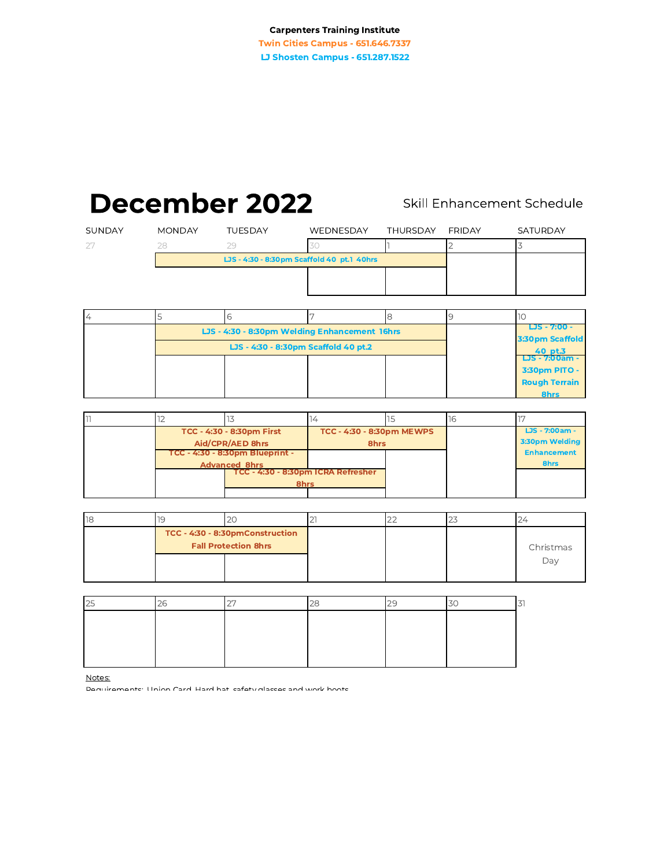Twin Cities Campus - 651.646.7337 LJ Shosten Campus - 651.287.1522

# December 2022 Skill Enhancement Schedule

|                |               | December 2022  |                                            |                 |               | Skill Enhancement Schedule |
|----------------|---------------|----------------|--------------------------------------------|-----------------|---------------|----------------------------|
| <b>SUNDAY</b>  | <b>MONDAY</b> | <b>TUESDAY</b> | WEDNESDAY                                  | <b>THURSDAY</b> | <b>FRIDAY</b> | <b>SATURDAY</b>            |
|                | 28            | 29             | 30                                         |                 |               |                            |
|                |               |                | LJS - 4:30 - 8:30pm Scaffold 40 pt.1 40hrs |                 |               |                            |
|                |               |                |                                            |                 |               |                            |
|                |               |                |                                            |                 |               |                            |
| $\overline{4}$ |               | 6              |                                            | 8               |               | .10                        |

| $\overline{4}$ |                                               |  |                                 |                                        |
|----------------|-----------------------------------------------|--|---------------------------------|----------------------------------------|
|                | LJS - 4:30 - 8:30pm Welding Enhancement 16hrs |  | LJS - 7:00 -<br>3:30pm Scaffold |                                        |
|                | LJS - 4:30 - 8:30pm Scaffold 40 pt.2          |  | 40 pt.3                         |                                        |
|                |                                               |  |                                 | <b>LJS - 7:00am -</b><br>3:30pm PITO - |
|                |                                               |  |                                 | <b>Rough Terrain</b>                   |
|                |                                               |  |                                 | 8hrs                                   |

| דו |                                                                                                                                                        |  |                                   |  |                                  |
|----|--------------------------------------------------------------------------------------------------------------------------------------------------------|--|-----------------------------------|--|----------------------------------|
|    | TCC - 4:30 - 8:30pm First<br>Aid/CPR/AED 8hrs<br>TCC - 4:30 - 8:30pm Blueprint -<br><b>Advanced 8hrs</b><br>TCC - 4:30 - 8:30pm ICRA Refresher<br>8hrs |  | TCC - 4:30 - 8:30pm MEWPS<br>8hrs |  | LJS - 7:00am -<br>3:30pm Welding |
|    |                                                                                                                                                        |  |                                   |  | <b>Enhancement</b><br>8hrs       |
|    |                                                                                                                                                        |  |                                   |  |                                  |

| 18 |                                                                | ∼ | __ |           |
|----|----------------------------------------------------------------|---|----|-----------|
|    | TCC - 4:30 - 8:30pmConstruction<br><b>Fall Protection 8hrs</b> |   |    | Christmas |
|    |                                                                |   |    | Day       |

| 25 |  |  |  |
|----|--|--|--|
|    |  |  |  |
|    |  |  |  |
|    |  |  |  |
|    |  |  |  |

Notes:

Demuiremente: Hnion Card Hard hat eafety glacees and work hoots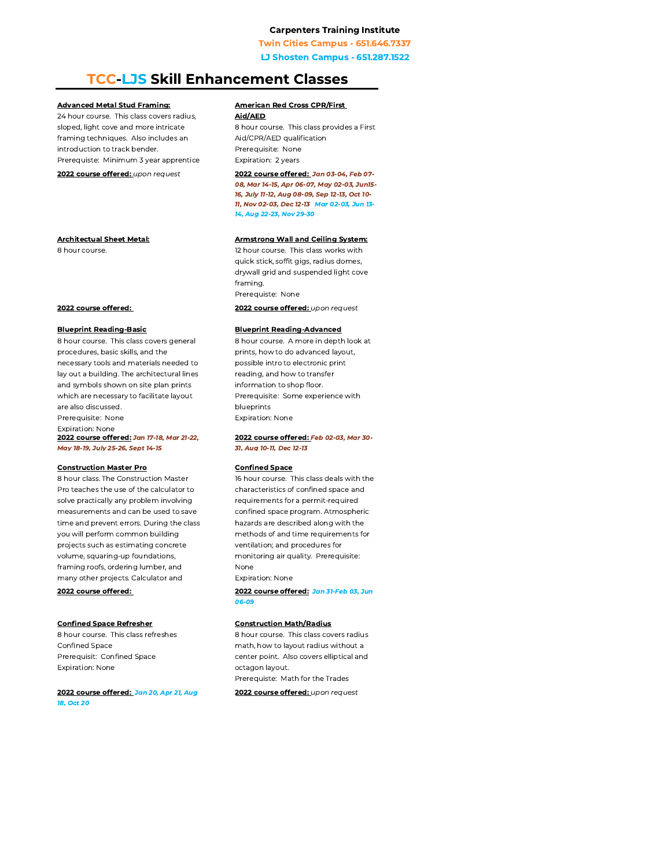**Twin Cities Campus - 651.646.7337** 

**LJ Shosten Campus - 651.287.1522** 

# **TCC-LJS Skill Enhancement Classes**

#### **Advanced Metal Stud Framing:**

24 hour course. This class covers radius, sloped, light cove and more intricate framing techniques. Also includes an introduction to track bender. Prerequiste: Minimum 3 year apprentice

2022 course offered: upon request

**Architectual Sheet Metal:** 

8 hour course.

#### 2022 course offered:

#### **Blueprint Reading-Basic**

8 hour course. This class covers general procedures, basic skills, and the necessary tools and materials needed to lay out a building. The architectural lines and symbols shown on site plan prints which are necessary to facilitate layout are also discussed. Prerequisite: None **Expiration: None** 2022 course offered: Jan 17-18, Mar 21-22,

# Mav 18-19. July 25-26. Sept 14-15

#### **Construction Master Pro**

8 hour class. The Construction Master Pro teaches the use of the calculator to solve practically any problem involving measurements and can be used to save time and prevent errors. During the class you will perform common building projects such as estimating concrete volume, squaring-up foundations, framing roofs, ordering lumber, and many other projects. Calculator and

#### 2022 course offered:

#### **Confined Space Refresher**

8 hour course. This class refreshes Confined Space Prerequisit: Confined Space Expiration: None

2022 course offered: Jan 20, Apr 21, Aug 18, Oct 20

### **American Red Cross CPR/First**

Aid/AED 8 hour course. This class provides a First Aid/CPR/AED qualification Prerequisite: None Expiration: 2 years

2022 course offered: Jan 03-04, Feb 07-08, Mar 14-15, Apr 06-07, May 02-03, Jun15-16, July 11-12, Aug 08-09, Sep 12-13, Oct 10-11, Nov 02-03, Dec 12-13 Mar 02-03, Jun 13-14, Aug 22-23, Nov 29-30

#### **Armstrong Wall and Ceiling System:**

12 hour course. This class works with quick stick, soffit gigs, radius domes, drywall grid and suspended light cove framing. Prerequiste: None 2022 course offered: upon request

#### **Blueprint Reading-Advanced**

8 hour course. A more in depth look at prints, how to do advanced layout, possible intro to electronic print reading, and how to transfer information to shop floor. Prerequisite: Some experience with blueprints **Expiration: None** 

#### 2022 course offered: Feb 02-03, Mar 30-31. Aua 10-11. Dec 12-13

#### **Confined Space**

16 hour course. This class deals with the characteristics of confined space and requirements for a permit-required confined space program. Atmospheric hazards are described along with the methods of and time requirements for ventilation: and procedures for monitoring air quality. Prerequisite: None **Expiration: None** 

2022 course offered: Jan 31-Feb 03, Jun 06-09

#### **Construction Math/Radius**

8 hour course. This class covers radius math, how to layout radius without a center point. Also covers elliptical and octagon layout. Prerequiste: Math for the Trades

2022 course offered: upon request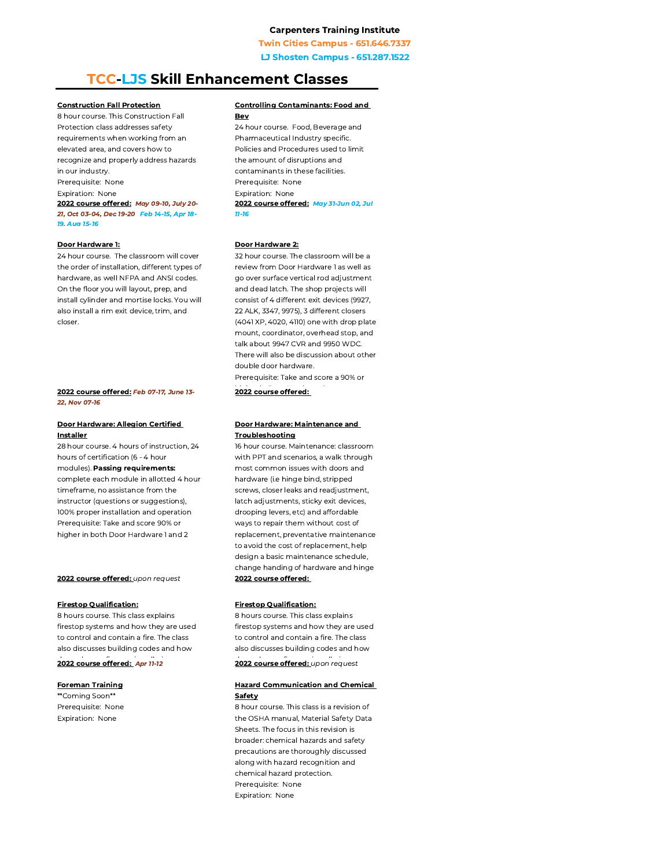**Twin Cities Campus - 651.646.7337** 

**LJ Shosten Campus - 651.287.1522** 

# **TCC-LJS Skill Enhancement Classes**

#### **Construction Fall Protection**

8 hour course. This Construction Fall Protection class addresses safety requirements when working from an elevated area, and covers how to recognize and properly address hazards in our industry. Prerequisite: None

Expiration: None

2022 course offered: May 09-10, July 20-21, Oct 03-04, Dec 19-20 Feb 14-15, Apr 18-19. Aug 15-16

#### Door Hardware 1:

24 hour course. The classroom will cover the order of installation, different types of hardware, as well NFPA and ANSI codes. On the floor you will layout, prep, and install cylinder and mortise locks. You will also install a rim exit device, trim, and closer.

#### 2022 course offered: Feb 07-17, June 13-22. Nov 07-16

#### Door Hardware: Allegion Certified **Installer**

28 hour course, 4 hours of instruction, 24 hours of certification (6 - 4 hour

#### modules). Passing requirements:

complete each module in allotted 4 hour timeframe, no assistance from the instructor (questions or suggestions), 100% proper installation and operation Prerequisite: Take and score 90% or higher in both Door Hardware 1 and 2

#### 2022 course offered: upon request

#### **Firestop Qualification:**

8 hours course. This class explains firestop systems and how they are used to control and contain a fire. The class also discusses building codes and how

#### 2022 course offered: Apr 11-12

#### **Foreman Training**

\*\*Coming Soon\*\* Prerequisite: None Expiration: None

#### **Controlling Contaminants: Food and** Bev

24 hour course. Food, Beverage and Pharmaceutical Industry specific. Policies and Procedures used to limit the amount of disruptions and contaminants in these facilities. Prerequisite: None Expiration: None 2022 course offered: May 31-Jun 02, Jul  $11 - 16$ 

#### Door Hardware 2:

32 hour course. The classroom will be a review from Door Hardware 1 as well as go over surface vertical rod adjustment and dead latch. The shop projects will consist of 4 different exit devices (9927, 22 ALK, 3347, 9975), 3 different closers (4041 XP, 4020, 4110) one with drop plate mount, coordinator, overhead stop, and talk about 9947 CVR and 9950 WDC. There will also be discussion about other double door hardware. Prerequisite: Take and score a 90% or

2022 course offered:

#### Door Hardware: Maintenance and Troubleshooting

16 hour course. Maintenance: classroom with PPT and scenarios, a walk through most common issues with doors and hardware (i.e hinge bind, stripped screws, closer leaks and readjustment, latch adjustments, sticky exit devices, drooping levers, etc) and affordable ways to repair them without cost of replacement, preventative maintenance to avoid the cost of replacement, help design a basic maintenance schedule. change handing of hardware and hinge 2022 course offered:

#### **Firestop Qualification:**

8 hours course. This class explains firestop systems and how they are used to control and contain a fire. The class also discusses building codes and how

2022 course offered: upon request

#### **Hazard Communication and Chemical** Safety

8 hour course. This class is a revision of the OSHA manual, Material Safety Data Sheets. The focus in this revision is broader: chemical hazards and safety precautions are thoroughly discussed along with hazard recognition and chemical hazard protection. Prerequisite: None Expiration: None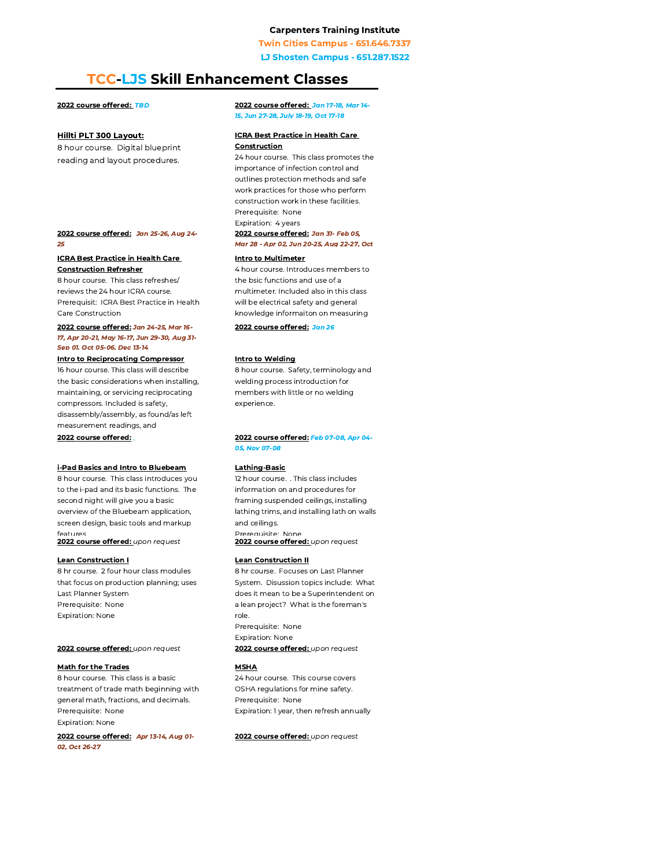**Twin Cities Campus - 651.646.7337** 

**LJ Shosten Campus - 651.287.1522** 

# **TCC-LJS Skill Enhancement Classes**

#### 2022 course offered: TBD

#### **Hillti PLT 300 Layout:**

8 hour course. Digital blueprint reading and layout procedures.

#### 2022 course offered: Jan 25-26, Aug 24-25

#### **ICRA Best Practice in Health Care Construction Refresher**

8 hour course. This class refreshes/ reviews the 24 hour ICRA course. Prerequisit: ICRA Best Practice in Health Care Construction

#### 2022 course offered: Jan 24-25, Mar 16-17, Apr 20-21, May 16-17, Jun 29-30, Aug 31-Sen 01. Oct 05-06. Dec 13-14

#### **Intro to Reciprocating Compressor**

16 hour course. This class will describe the basic considerations when installing, maintaining, or servicing reciprocating compressors. Included is safety, disassembly/assembly, as found/as left measurement readings, and

#### 2022 course offered:

### i-Pad Basics and Intro to Bluebeam

8 hour course. This class introduces you to the i-pad and its basic functions. The second night will give you a basic overview of the Bluebeam application, screen design, basic tools and markup features

2022 course offered: upon request

#### **Lean Construction I**

8 hr course. 2 four hour class modules that focus on production planning; uses Last Planner System Prerequisite: None Expiration: None

#### 2022 course offered: upon request

#### **Math for the Trades**

8 hour course. This class is a basic treatment of trade math beginning with general math, fractions, and decimals. Prerequisite: None **Expiration: None** 

2022 course offered: Apr 13-14, Aug 01-02, Oct 26-27

#### 2022 course offered: Jan 17-18, Mar 14-15. Jun 27-28. July 18-19. Oct 17-18

#### **ICRA Best Practice in Health Care** Construction

24 hour course. This class promotes the importance of infection control and outlines protection methods and safe work practices for those who perform construction work in these facilities. Prerequisite: None Expiration: 4 years 2022 course offered: Jan 31- Feb 05, Mar 28 - Apr 02, Jun 20-25, Aug 22-27, Oct

#### **Intro to Multimeter**

4 hour course. Introduces members to the bsic functions and use of a multimeter. Included also in this class will be electrical safety and general knowledge informaiton on measuring

#### 2022 course offered: Jan 26

#### **Intro to Welding**

8 hour course. Safety, terminology and welding process introduction for members with little or no welding experience.

#### 2022 course offered: Feb 07-08, Apr 04-05. Nov 07-08

#### **Lathing-Basic**

12 hour course. . This class includes information on and procedures for framing suspended ceilings, installing lathing trims, and installing lath on walls and ceilings. Prerequisite: None 2022 course offered: upon request

#### **Lean Construction II**

8 hr course. Focuses on Last Planner System. Disussion topics include: What does it mean to be a Superintendent on a lean project? What is the foreman's role. Prerequisite: None **Expiration: None** 2022 course offered: upon request

#### **MSHA**

24 hour course. This course covers OSHA regulations for mine safety. Prerequisite: None Expiration: 1 year, then refresh annually

2022 course offered: upon request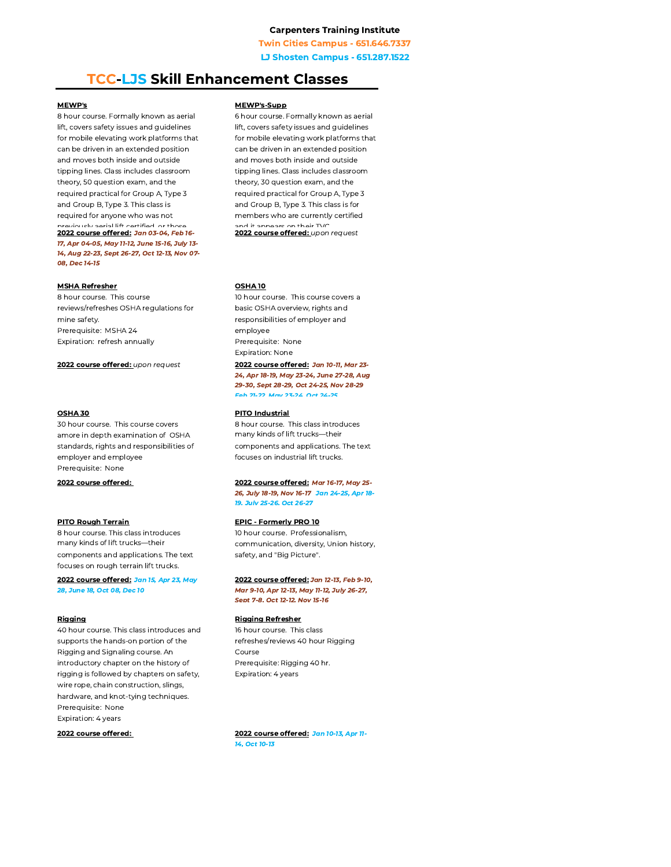**Twin Cities Campus - 651.646.7337** 

**LJ Shosten Campus - 651.287.1522** 

# **TCC-LJS Skill Enhancement Classes**

#### **MEWP's**

8 hour course. Formally known as aerial lift, covers safety issues and guidelines for mobile elevating work platforms that can be driven in an extended position and moves both inside and outside tipping lines. Class includes classroom theory, 50 question exam, and the required practical for Group A, Type 3 and Group B, Type 3. This class is required for anyone who was not iourly sorial lift cortified or those 2022 course offered: Jan 03-04, Feb 16-17, Apr 04-05, May 11-12, June 15-16, July 13-14, Aug 22-23, Sept 26-27, Oct 12-13, Nov 07-08, Dec 14-15

#### **MSHA Refresher**

8 hour course. This course reviews/refreshes OSHA regulations for mine safety. Prerequisite: MSHA 24 Expiration: refresh annually

2022 course offered: upon request

#### **OSHA 30**

30 hour course. This course covers amore in depth examination of OSHA standards, rights and responsibilities of employer and employee Prerequisite: None

2022 course offered:

#### **PITO Rough Terrain**

8 hour course. This class introduces many kinds of lift trucks-their components and applications. The text focuses on rough terrain lift trucks.

2022 course offered: Jan 15, Apr 23, May 28, June 18, Oct 08, Dec 10

#### Rigging

40 hour course. This class introduces and supports the hands-on portion of the Rigging and Signaling course. An introductory chapter on the history of rigging is followed by chapters on safety. wire rope, chain construction, slings, hardware, and knot-tying techniques. Prerequisite: None Expiration: 4 years

2022 course offered:

#### **MEWP's-Supp**

6 hour course. Formally known as aerial lift, covers safety issues and guidelines for mobile elevating work platforms that can be driven in an extended position and moves both inside and outside tipping lines. Class includes classroom theory, 30 question exam, and the required practical for Group A, Type 3 and Group B, Type 3. This class is for members who are currently certified and it annoare on thoir TV 2022 course offered: upon request

#### **OSHA 10**

10 hour course. This course covers a basic OSHA overview, rights and responsibilities of employer and employee Prerequisite: None Expiration: None 2022 course offered: Jan 10-11, Mar 23-

24, Apr 18-19, May 23-24, June 27-28, Aug 29-30, Sept 28-29, Oct 24-25, Nov 28-29 Feb 21.22 May 23.24 Oct 24.25

#### **PITO Industrial**

8 hour course. This class introduces many kinds of lift trucks-their components and applications. The text focuses on industrial lift trucks.

#### 2022 course offered: Mar 16-17, May 25-

26, July 18-19, Nov 16-17 Jan 24-25, Apr 18-19. July 25-26. Oct 26-27

#### **EPIC - Formerly PRO 10**

10 hour course. Professionalism. communication, diversity, Union history, safety, and "Big Picture".

#### 2022 course offered: Jan 12-13, Feb 9-10, Mar 9-10, Apr 12-13, May 11-12, July 26-27,

Sept 7-8. Oct 12-12. Nov 15-16

#### **Rigging Refresher**

16 hour course. This class refreshes/reviews 40 hour Rigging Course Prerequisite: Rigging 40 hr. Expiration: 4 years

2022 course offered: Jan 10-13, Apr 11-14. Oct 10-13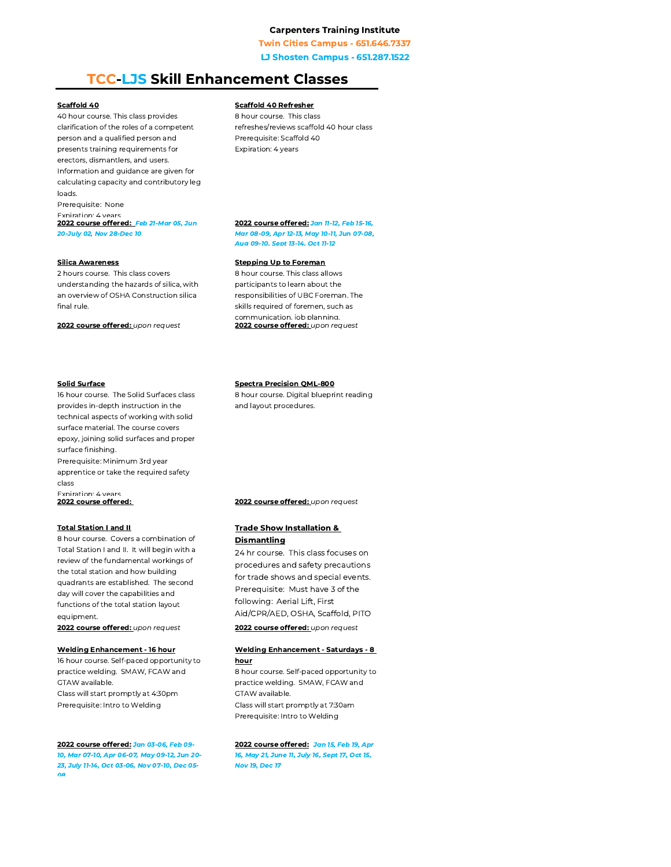**Twin Cities Campus - 651.646.7337** 

**LJ Shosten Campus - 651.287.1522** 

# **TCC-LJS Skill Enhancement Classes**

#### Scaffold 40

40 hour course. This class provides clarification of the roles of a competent person and a qualified person and presents training requirements for erectors, dismantlers, and users. Information and quidance are given for calculating capacity and contributory leg loads.

Prerequisite: None

Expiration: 4 years

2022 course offered: Feb 21-Mar 05, Jun 20-July 02, Nov 28-Dec 10

#### **Silica Awareness**

2 hours course. This class covers understanding the hazards of silica, with an overview of OSHA Construction silica final rule.

2022 course offered: upon request

#### **Solid Surface**

16 hour course. The Solid Surfaces class provides in-depth instruction in the technical aspects of working with solid surface material. The course covers epoxy, joining solid surfaces and proper surface finishing.

Prerequisite: Minimum 3rd year apprentice or take the required safety class

Fxniration<sup>.</sup> 4 vears 2022 course offered:

#### **Total Station I and II**

8 hour course. Covers a combination of Total Station I and II. It will begin with a review of the fundamental workings of the total station and how building quadrants are established. The second day will cover the capabilities and functions of the total station layout equipment.

2022 course offered: upon request

#### **Welding Enhancement - 16 hour**

16 hour course. Self-paced opportunity to practice welding. SMAW, FCAW and GTAW available. Class will start promptly at 4:30pm

Prerequisite: Intro to Welding

#### 2022 course offered: Jan 03-06, Feb 09-10. Mar 07-10. Apr 06-07. May 09-12. Jun 20-23, July 11-14, Oct 03-06, Nov 07-10, Dec 05n.

#### **Scaffold 40 Refresher**

8 hour course. This class refreshes/reviews scaffold 40 hour class Prerequisite: Scaffold 40 Expiration: 4 years

#### 2022 course offered: Jan 11-12, Feb 15-16, Mar 08-09, Apr 12-13, May 10-11, Jun 07-08, Aug 09-10. Sept 13-14. Oct 11-12

#### **Stepping Up to Foreman**

8 hour course. This class allows participants to learn about the responsibilities of UBC Foreman. The skills required of foremen, such as communication, job planning 2022 course offered: upon request

#### **Spectra Precision QML-800**

8 hour course. Digital blueprint reading and layout procedures.

2022 course offered: upon request

#### **Trade Show Installation & Dismantling**

24 hr course. This class focuses on procedures and safety precautions for trade shows and special events. Prerequisite: Must have 3 of the following: Aerial Lift, First Aid/CPR/AED, OSHA, Scaffold, PITO

2022 course offered: upon request

#### **Welding Enhancement - Saturdays - 8** hour

8 hour course. Self-paced opportunity to practice welding. SMAW, FCAW and GTAW available. Class will start promptly at 7:30am Prerequisite: Intro to Welding

#### 2022 course offered: Jan 15, Feb 19, Apr

16, May 21, June 11, July 16, Sept 17, Oct 15, **Nov 19, Dec 17**